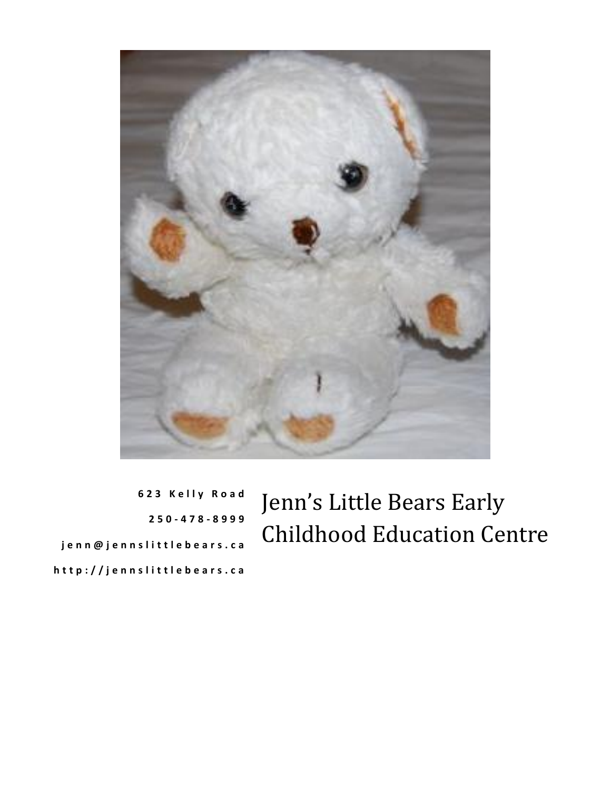

**6 2 3 K e l l y R o a d 2 5 0 - 4 7 8 - 8 9 9 9 j e n n @ j e n n s l i t t l e b e a r s . c a h t t p : / / j e n n s l i t t l e b e a r s . c a**

Jenn's Little Bears Early Childhood Education Centre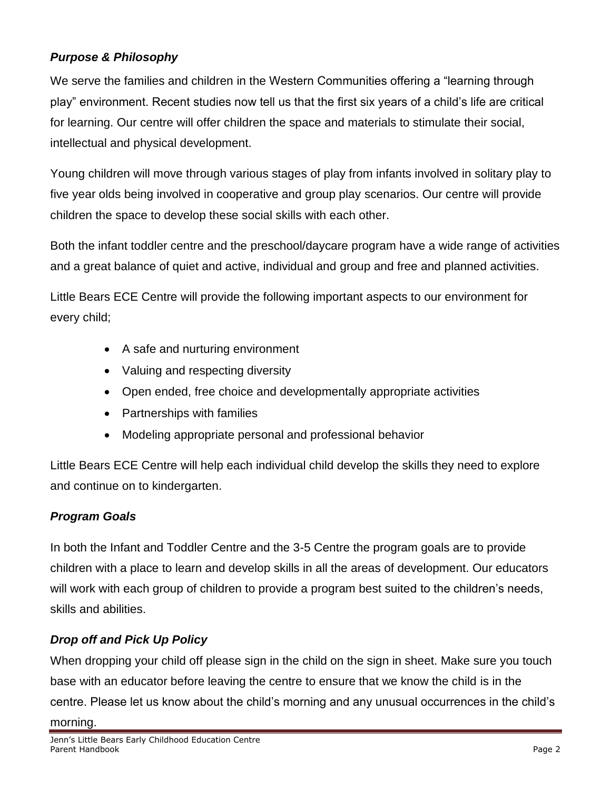### *Purpose & Philosophy*

We serve the families and children in the Western Communities offering a "learning through play" environment. Recent studies now tell us that the first six years of a child's life are critical for learning. Our centre will offer children the space and materials to stimulate their social, intellectual and physical development.

Young children will move through various stages of play from infants involved in solitary play to five year olds being involved in cooperative and group play scenarios. Our centre will provide children the space to develop these social skills with each other.

Both the infant toddler centre and the preschool/daycare program have a wide range of activities and a great balance of quiet and active, individual and group and free and planned activities.

Little Bears ECE Centre will provide the following important aspects to our environment for every child;

- A safe and nurturing environment
- Valuing and respecting diversity
- Open ended, free choice and developmentally appropriate activities
- Partnerships with families
- Modeling appropriate personal and professional behavior

Little Bears ECE Centre will help each individual child develop the skills they need to explore and continue on to kindergarten.

#### *Program Goals*

In both the Infant and Toddler Centre and the 3-5 Centre the program goals are to provide children with a place to learn and develop skills in all the areas of development. Our educators will work with each group of children to provide a program best suited to the children's needs, skills and abilities.

### *Drop off and Pick Up Policy*

When dropping your child off please sign in the child on the sign in sheet. Make sure you touch base with an educator before leaving the centre to ensure that we know the child is in the centre. Please let us know about the child's morning and any unusual occurrences in the child's morning.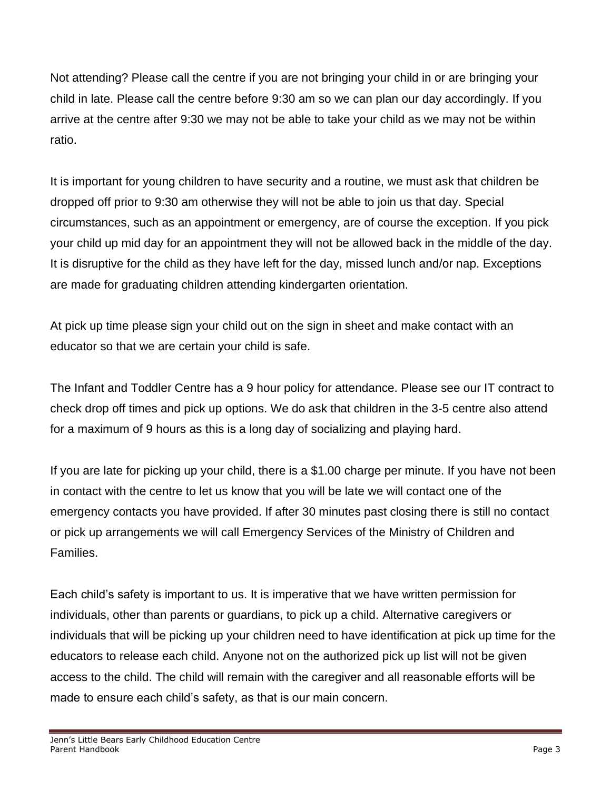Not attending? Please call the centre if you are not bringing your child in or are bringing your child in late. Please call the centre before 9:30 am so we can plan our day accordingly. If you arrive at the centre after 9:30 we may not be able to take your child as we may not be within ratio.

It is important for young children to have security and a routine, we must ask that children be dropped off prior to 9:30 am otherwise they will not be able to join us that day. Special circumstances, such as an appointment or emergency, are of course the exception. If you pick your child up mid day for an appointment they will not be allowed back in the middle of the day. It is disruptive for the child as they have left for the day, missed lunch and/or nap. Exceptions are made for graduating children attending kindergarten orientation.

At pick up time please sign your child out on the sign in sheet and make contact with an educator so that we are certain your child is safe.

The Infant and Toddler Centre has a 9 hour policy for attendance. Please see our IT contract to check drop off times and pick up options. We do ask that children in the 3-5 centre also attend for a maximum of 9 hours as this is a long day of socializing and playing hard.

If you are late for picking up your child, there is a \$1.00 charge per minute. If you have not been in contact with the centre to let us know that you will be late we will contact one of the emergency contacts you have provided. If after 30 minutes past closing there is still no contact or pick up arrangements we will call Emergency Services of the Ministry of Children and Families.

Each child's safety is important to us. It is imperative that we have written permission for individuals, other than parents or guardians, to pick up a child. Alternative caregivers or individuals that will be picking up your children need to have identification at pick up time for the educators to release each child. Anyone not on the authorized pick up list will not be given access to the child. The child will remain with the caregiver and all reasonable efforts will be made to ensure each child's safety, as that is our main concern.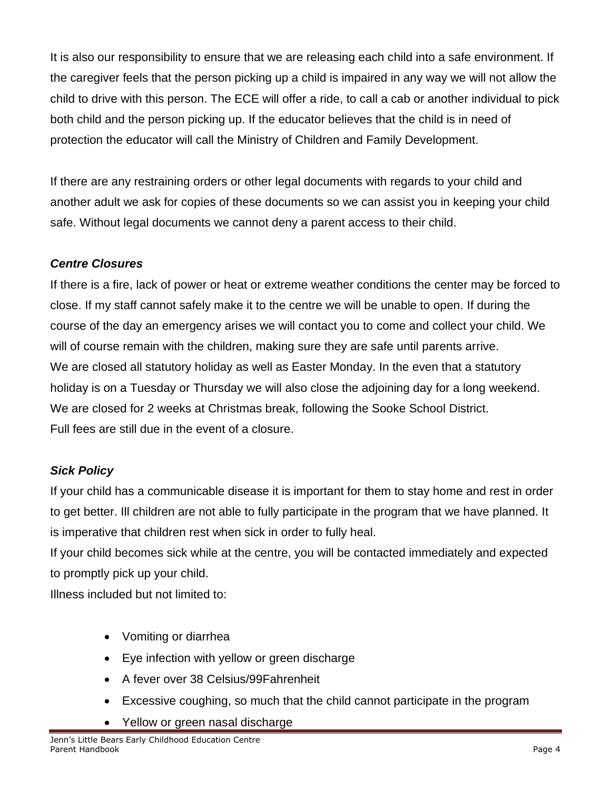It is also our responsibility to ensure that we are releasing each child into a safe environment. If the caregiver feels that the person picking up a child is impaired in any way we will not allow the child to drive with this person. The ECE will offer a ride, to call a cab or another individual to pick both child and the person picking up. If the educator believes that the child is in need of protection the educator will call the Ministry of Children and Family Development.

If there are any restraining orders or other legal documents with regards to your child and another adult we ask for copies of these documents so we can assist you in keeping your child safe. Without legal documents we cannot deny a parent access to their child.

# *Centre Closures*

If there is a fire, lack of power or heat or extreme weather conditions the center may be forced to close. If my staff cannot safely make it to the centre we will be unable to open. If during the course of the day an emergency arises we will contact you to come and collect your child. We will of course remain with the children, making sure they are safe until parents arrive. We are closed all statutory holiday as well as Easter Monday. In the even that a statutory holiday is on a Tuesday or Thursday we will also close the adjoining day for a long weekend. We are closed for 2 weeks at Christmas break, following the Sooke School District. Full fees are still due in the event of a closure.

# *Sick Policy*

If your child has a communicable disease it is important for them to stay home and rest in order to get better. Ill children are not able to fully participate in the program that we have planned. It is imperative that children rest when sick in order to fully heal.

If your child becomes sick while at the centre, you will be contacted immediately and expected to promptly pick up your child.

Illness included but not limited to:

- Vomiting or diarrhea
- Eye infection with yellow or green discharge
- A fever over 38 Celsius/99Fahrenheit
- Excessive coughing, so much that the child cannot participate in the program
- Yellow or green nasal discharge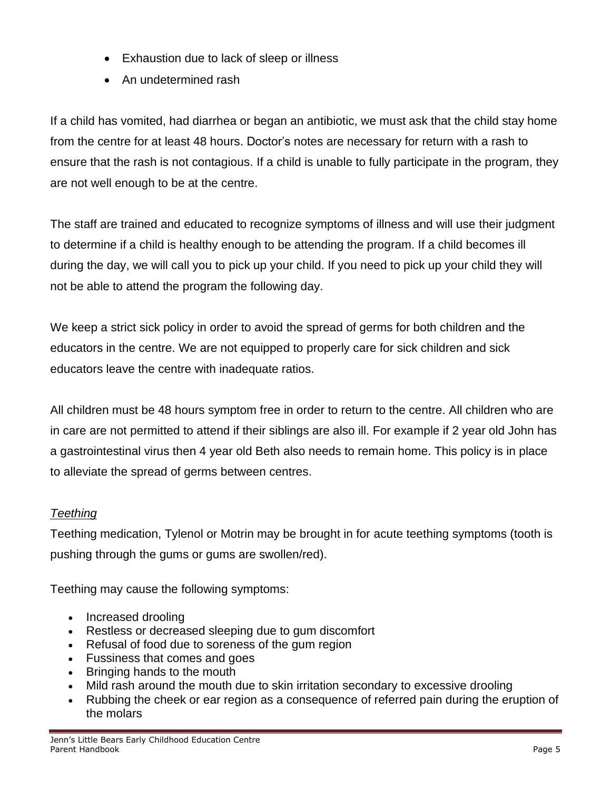- Exhaustion due to lack of sleep or illness
- An undetermined rash

If a child has vomited, had diarrhea or began an antibiotic, we must ask that the child stay home from the centre for at least 48 hours. Doctor's notes are necessary for return with a rash to ensure that the rash is not contagious. If a child is unable to fully participate in the program, they are not well enough to be at the centre.

The staff are trained and educated to recognize symptoms of illness and will use their judgment to determine if a child is healthy enough to be attending the program. If a child becomes ill during the day, we will call you to pick up your child. If you need to pick up your child they will not be able to attend the program the following day.

We keep a strict sick policy in order to avoid the spread of germs for both children and the educators in the centre. We are not equipped to properly care for sick children and sick educators leave the centre with inadequate ratios.

All children must be 48 hours symptom free in order to return to the centre. All children who are in care are not permitted to attend if their siblings are also ill. For example if 2 year old John has a gastrointestinal virus then 4 year old Beth also needs to remain home. This policy is in place to alleviate the spread of germs between centres.

# *Teething*

Teething medication, Tylenol or Motrin may be brought in for acute teething symptoms (tooth is pushing through the gums or gums are swollen/red).

Teething may cause the following symptoms:

- Increased [drooling](http://www.medicinenet.com/drooling/symptoms.htm)
- Restless or decreased sleeping due to gum discomfort
- Refusal of food due to soreness of the gum region
- Fussiness that comes and goes
- Bringing hands to the mouth
- Mild [rash](http://www.medicinenet.com/rash/article.htm) around the mouth due to skin irritation secondary to excessive drooling
- Rubbing the cheek or ear region as a consequence of referred [pain](http://www.medicinenet.com/pain_quiz/quiz.htm) during the eruption of the molars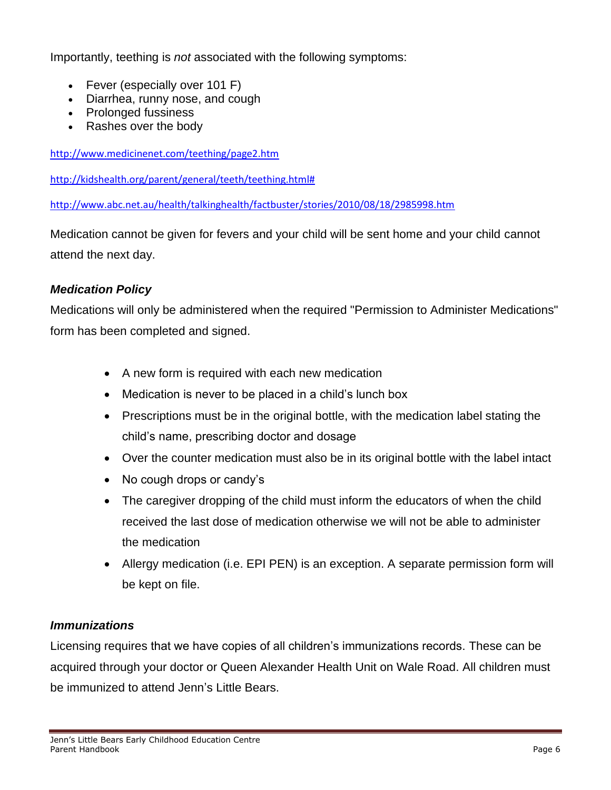Importantly, teething is *not* associated with the following symptoms:

- [Fever](http://www.medicinenet.com/fever/symptoms.htm) (especially over 101 F)
- [Diarrhea,](http://www.medicinenet.com/diarrhea_digestive_problem_food_pictures_slideshow/article.htm) [runny nose,](http://www.medicinenet.com/runny_nose/symptoms.htm) and [cough](http://www.medicinenet.com/cold_flu_cough_relief_pictures_slideshow/article.htm)
- Prolonged fussiness
- Rashes over the body

<http://www.medicinenet.com/teething/page2.htm>

[http://kidshealth.org/parent/general/teeth/teething.html#](http://kidshealth.org/parent/general/teeth/teething.html)

<http://www.abc.net.au/health/talkinghealth/factbuster/stories/2010/08/18/2985998.htm>

Medication cannot be given for fevers and your child will be sent home and your child cannot attend the next day.

### *Medication Policy*

Medications will only be administered when the required "Permission to Administer Medications" form has been completed and signed.

- A new form is required with each new medication
- Medication is never to be placed in a child's lunch box
- Prescriptions must be in the original bottle, with the medication label stating the child's name, prescribing doctor and dosage
- Over the counter medication must also be in its original bottle with the label intact
- No cough drops or candy's
- The caregiver dropping of the child must inform the educators of when the child received the last dose of medication otherwise we will not be able to administer the medication
- Allergy medication (i.e. EPI PEN) is an exception. A separate permission form will be kept on file.

#### *Immunizations*

Licensing requires that we have copies of all children's immunizations records. These can be acquired through your doctor or Queen Alexander Health Unit on Wale Road. All children must be immunized to attend Jenn's Little Bears.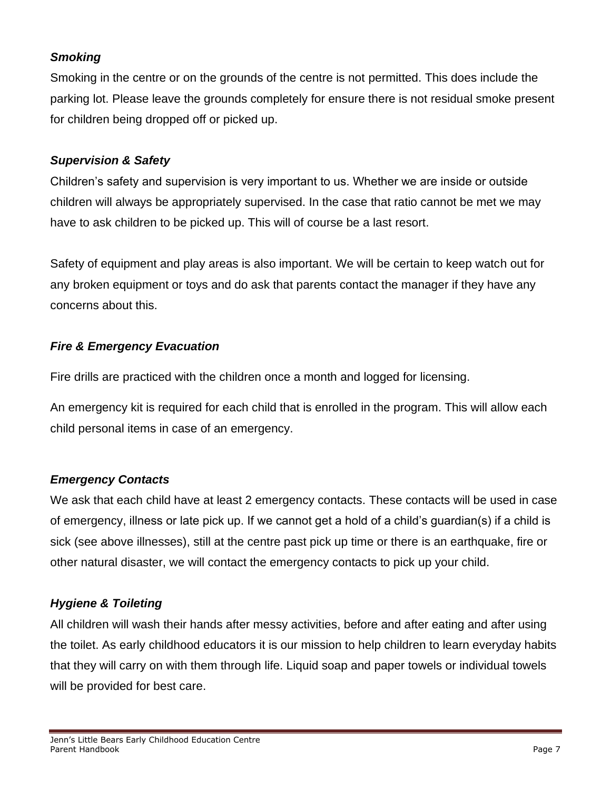#### *Smoking*

Smoking in the centre or on the grounds of the centre is not permitted. This does include the parking lot. Please leave the grounds completely for ensure there is not residual smoke present for children being dropped off or picked up.

#### *Supervision & Safety*

Children's safety and supervision is very important to us. Whether we are inside or outside children will always be appropriately supervised. In the case that ratio cannot be met we may have to ask children to be picked up. This will of course be a last resort.

Safety of equipment and play areas is also important. We will be certain to keep watch out for any broken equipment or toys and do ask that parents contact the manager if they have any concerns about this.

#### *Fire & Emergency Evacuation*

Fire drills are practiced with the children once a month and logged for licensing.

An emergency kit is required for each child that is enrolled in the program. This will allow each child personal items in case of an emergency.

#### *Emergency Contacts*

We ask that each child have at least 2 emergency contacts. These contacts will be used in case of emergency, illness or late pick up. If we cannot get a hold of a child's guardian(s) if a child is sick (see above illnesses), still at the centre past pick up time or there is an earthquake, fire or other natural disaster, we will contact the emergency contacts to pick up your child.

### *Hygiene & Toileting*

All children will wash their hands after messy activities, before and after eating and after using the toilet. As early childhood educators it is our mission to help children to learn everyday habits that they will carry on with them through life. Liquid soap and paper towels or individual towels will be provided for best care.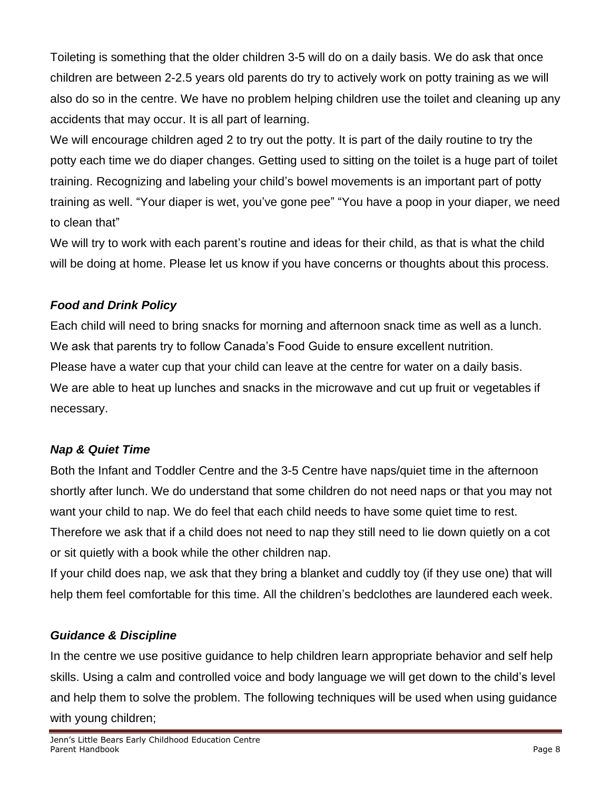Toileting is something that the older children 3-5 will do on a daily basis. We do ask that once children are between 2-2.5 years old parents do try to actively work on potty training as we will also do so in the centre. We have no problem helping children use the toilet and cleaning up any accidents that may occur. It is all part of learning.

We will encourage children aged 2 to try out the potty. It is part of the daily routine to try the potty each time we do diaper changes. Getting used to sitting on the toilet is a huge part of toilet training. Recognizing and labeling your child's bowel movements is an important part of potty training as well. "Your diaper is wet, you've gone pee" "You have a poop in your diaper, we need to clean that"

We will try to work with each parent's routine and ideas for their child, as that is what the child will be doing at home. Please let us know if you have concerns or thoughts about this process.

### *Food and Drink Policy*

Each child will need to bring snacks for morning and afternoon snack time as well as a lunch. We ask that parents try to follow Canada's Food Guide to ensure excellent nutrition. Please have a water cup that your child can leave at the centre for water on a daily basis. We are able to heat up lunches and snacks in the microwave and cut up fruit or vegetables if necessary.

### *Nap & Quiet Time*

Both the Infant and Toddler Centre and the 3-5 Centre have naps/quiet time in the afternoon shortly after lunch. We do understand that some children do not need naps or that you may not want your child to nap. We do feel that each child needs to have some quiet time to rest. Therefore we ask that if a child does not need to nap they still need to lie down quietly on a cot or sit quietly with a book while the other children nap.

If your child does nap, we ask that they bring a blanket and cuddly toy (if they use one) that will help them feel comfortable for this time. All the children's bedclothes are laundered each week.

### *Guidance & Discipline*

In the centre we use positive guidance to help children learn appropriate behavior and self help skills. Using a calm and controlled voice and body language we will get down to the child's level and help them to solve the problem. The following techniques will be used when using guidance with young children;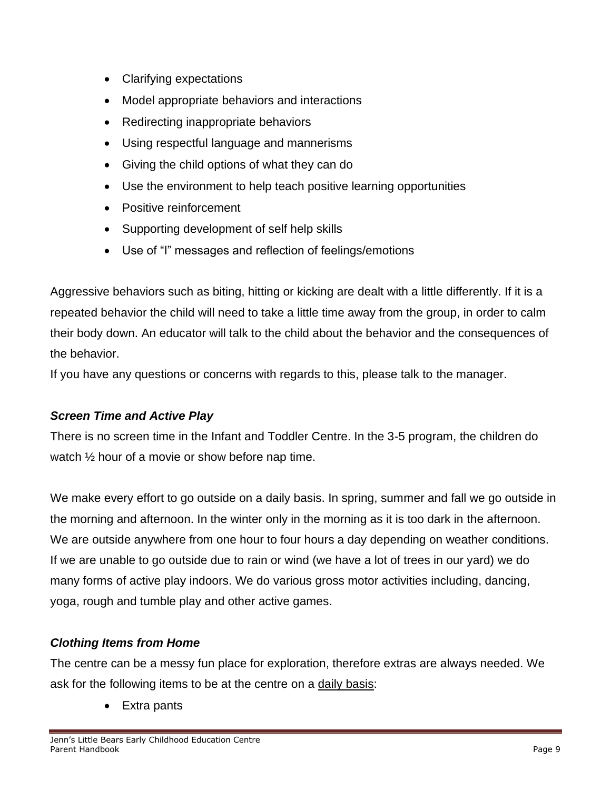- Clarifying expectations
- Model appropriate behaviors and interactions
- Redirecting inappropriate behaviors
- Using respectful language and mannerisms
- Giving the child options of what they can do
- Use the environment to help teach positive learning opportunities
- Positive reinforcement
- Supporting development of self help skills
- Use of "I" messages and reflection of feelings/emotions

Aggressive behaviors such as biting, hitting or kicking are dealt with a little differently. If it is a repeated behavior the child will need to take a little time away from the group, in order to calm their body down. An educator will talk to the child about the behavior and the consequences of the behavior.

If you have any questions or concerns with regards to this, please talk to the manager.

#### *Screen Time and Active Play*

There is no screen time in the Infant and Toddler Centre. In the 3-5 program, the children do watch ½ hour of a movie or show before nap time.

We make every effort to go outside on a daily basis. In spring, summer and fall we go outside in the morning and afternoon. In the winter only in the morning as it is too dark in the afternoon. We are outside anywhere from one hour to four hours a day depending on weather conditions. If we are unable to go outside due to rain or wind (we have a lot of trees in our yard) we do many forms of active play indoors. We do various gross motor activities including, dancing, yoga, rough and tumble play and other active games.

#### *Clothing Items from Home*

The centre can be a messy fun place for exploration, therefore extras are always needed. We ask for the following items to be at the centre on a daily basis:

• Extra pants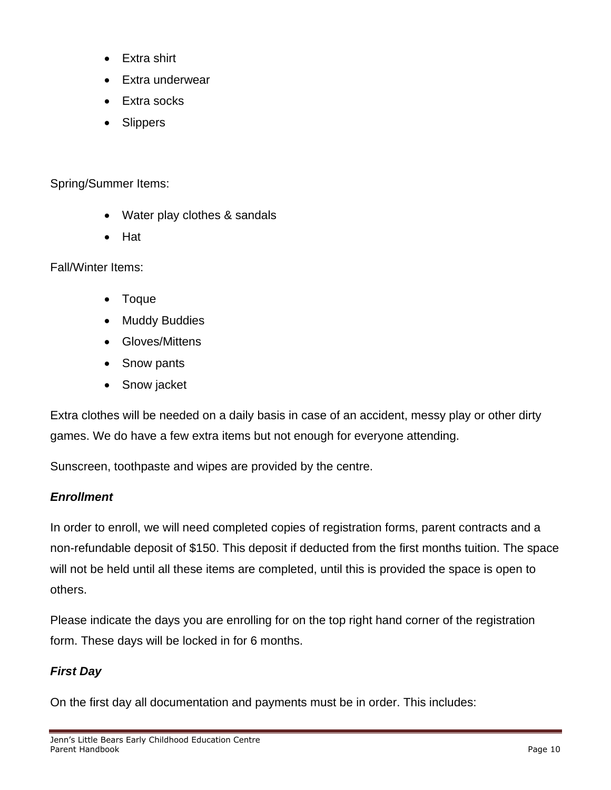- Extra shirt
- Extra underwear
- Extra socks
- Slippers

Spring/Summer Items:

- Water play clothes & sandals
- Hat

Fall/Winter Items:

- Toque
- **Muddy Buddies**
- Gloves/Mittens
- Snow pants
- Snow jacket

Extra clothes will be needed on a daily basis in case of an accident, messy play or other dirty games. We do have a few extra items but not enough for everyone attending.

Sunscreen, toothpaste and wipes are provided by the centre.

#### *Enrollment*

In order to enroll, we will need completed copies of registration forms, parent contracts and a non-refundable deposit of \$150. This deposit if deducted from the first months tuition. The space will not be held until all these items are completed, until this is provided the space is open to others.

Please indicate the days you are enrolling for on the top right hand corner of the registration form. These days will be locked in for 6 months.

### *First Day*

On the first day all documentation and payments must be in order. This includes: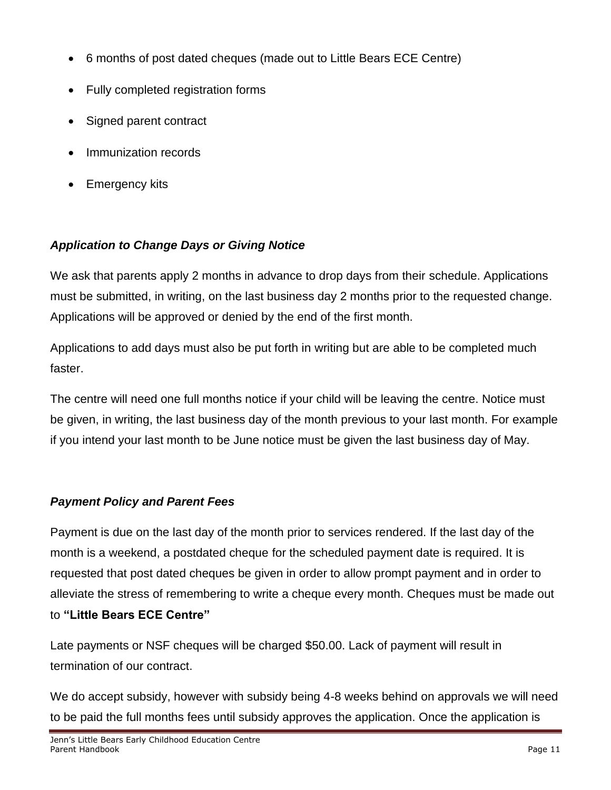- 6 months of post dated cheques (made out to Little Bears ECE Centre)
- Fully completed registration forms
- Signed parent contract
- Immunization records
- Emergency kits

# *Application to Change Days or Giving Notice*

We ask that parents apply 2 months in advance to drop days from their schedule. Applications must be submitted, in writing, on the last business day 2 months prior to the requested change. Applications will be approved or denied by the end of the first month.

Applications to add days must also be put forth in writing but are able to be completed much faster.

The centre will need one full months notice if your child will be leaving the centre. Notice must be given, in writing, the last business day of the month previous to your last month. For example if you intend your last month to be June notice must be given the last business day of May.

### *Payment Policy and Parent Fees*

Payment is due on the last day of the month prior to services rendered. If the last day of the month is a weekend, a postdated cheque for the scheduled payment date is required. It is requested that post dated cheques be given in order to allow prompt payment and in order to alleviate the stress of remembering to write a cheque every month. Cheques must be made out to **"Little Bears ECE Centre"**

Late payments or NSF cheques will be charged \$50.00. Lack of payment will result in termination of our contract.

We do accept subsidy, however with subsidy being 4-8 weeks behind on approvals we will need to be paid the full months fees until subsidy approves the application. Once the application is